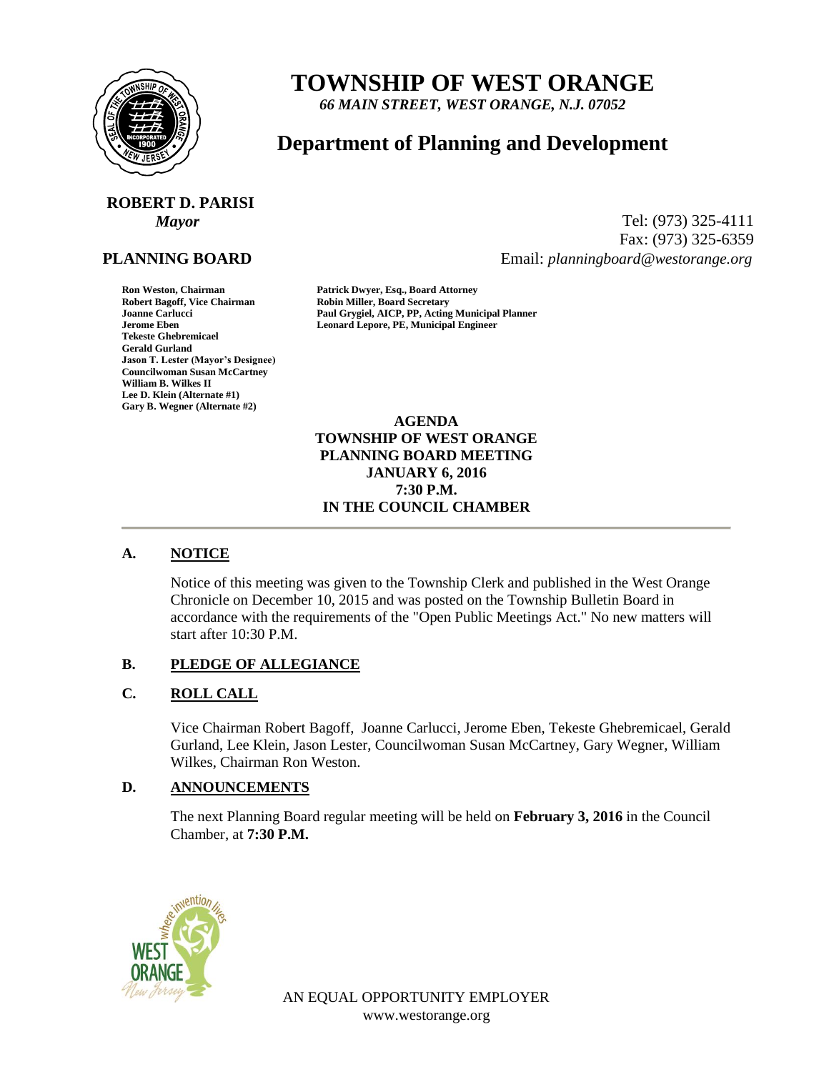

# **TOWNSHIP OF WEST ORANGE**

*66 MAIN STREET, WEST ORANGE, N.J. 07052*

# **Department of Planning and Development**

# **ROBERT D. PARISI**

# **PLANNING BOARD**

**Tekeste Ghebremicael Gerald Gurland Jason T. Lester (Mayor's Designee) Councilwoman Susan McCartney William B. Wilkes II Lee D. Klein (Alternate #1) Gary B. Wegner (Alternate #2)**

*Mayor* Tel: (973) 325-4111 Fax: (973) 325-6359 Email: *planningboard@westorange.org*

**Ron Weston, Chairman Patrick Dwyer, Esq., Board Attorney Robin Miller, Board Secretary Joanne Carlucci Paul Grygiel, AICP, PP, Acting Municipal Planner Jerome Eben Leonard Lepore, PE, Municipal Engineer**

> **AGENDA TOWNSHIP OF WEST ORANGE PLANNING BOARD MEETING JANUARY 6, 2016 7:30 P.M. IN THE COUNCIL CHAMBER**

# **A. NOTICE**

Notice of this meeting was given to the Township Clerk and published in the West Orange Chronicle on December 10, 2015 and was posted on the Township Bulletin Board in accordance with the requirements of the "Open Public Meetings Act." No new matters will start after 10:30 P.M.

#### **B. PLEDGE OF ALLEGIANCE**

# **C. ROLL CALL**

Vice Chairman Robert Bagoff, Joanne Carlucci, Jerome Eben, Tekeste Ghebremicael, Gerald Gurland, Lee Klein, Jason Lester, Councilwoman Susan McCartney, Gary Wegner, William Wilkes, Chairman Ron Weston.

#### **D. ANNOUNCEMENTS**

The next Planning Board regular meeting will be held on **February 3, 2016** in the Council Chamber, at **7:30 P.M.**